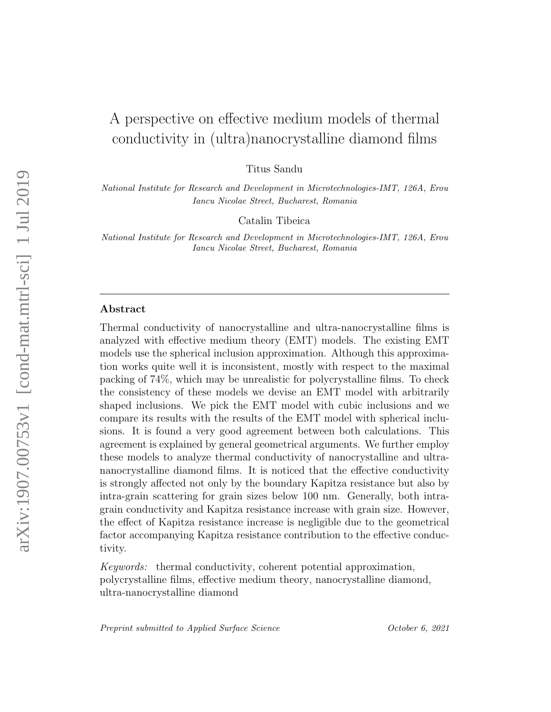# A perspective on effective medium models of thermal conductivity in (ultra)nanocrystalline diamond films

Titus Sandu

National Institute for Research and Development in Microtechnologies-IMT, 126A, Erou Iancu Nicolae Street, Bucharest, Romania

Catalin Tibeica

National Institute for Research and Development in Microtechnologies-IMT, 126A, Erou Iancu Nicolae Street, Bucharest, Romania

### Abstract

Thermal conductivity of nanocrystalline and ultra-nanocrystalline films is analyzed with effective medium theory (EMT) models. The existing EMT models use the spherical inclusion approximation. Although this approximation works quite well it is inconsistent, mostly with respect to the maximal packing of 74%, which may be unrealistic for polycrystalline films. To check the consistency of these models we devise an EMT model with arbitrarily shaped inclusions. We pick the EMT model with cubic inclusions and we compare its results with the results of the EMT model with spherical inclusions. It is found a very good agreement between both calculations. This agreement is explained by general geometrical arguments. We further employ these models to analyze thermal conductivity of nanocrystalline and ultrananocrystalline diamond films. It is noticed that the effective conductivity is strongly affected not only by the boundary Kapitza resistance but also by intra-grain scattering for grain sizes below 100 nm. Generally, both intragrain conductivity and Kapitza resistance increase with grain size. However, the effect of Kapitza resistance increase is negligible due to the geometrical factor accompanying Kapitza resistance contribution to the effective conductivity.

Keywords: thermal conductivity, coherent potential approximation, polycrystalline films, effective medium theory, nanocrystalline diamond, ultra-nanocrystalline diamond

Preprint submitted to Applied Surface Science October 6, 2021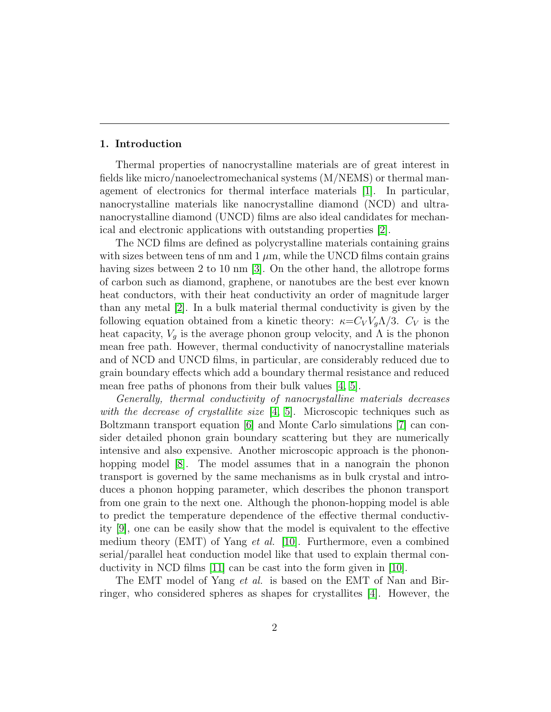#### 1. Introduction

Thermal properties of nanocrystalline materials are of great interest in fields like micro/nanoelectromechanical systems (M/NEMS) or thermal management of electronics for thermal interface materials [\[1\]](#page-12-0). In particular, nanocrystalline materials like nanocrystalline diamond (NCD) and ultrananocrystalline diamond (UNCD) films are also ideal candidates for mechanical and electronic applications with outstanding properties [\[2\]](#page-12-1).

The NCD films are defined as polycrystalline materials containing grains with sizes between tens of nm and  $1 \mu m$ , while the UNCD films contain grains having sizes between 2 to 10 nm [\[3\]](#page-12-2). On the other hand, the allotrope forms of carbon such as diamond, graphene, or nanotubes are the best ever known heat conductors, with their heat conductivity an order of magnitude larger than any metal [\[2\]](#page-12-1). In a bulk material thermal conductivity is given by the following equation obtained from a kinetic theory:  $\kappa = C_V V_q \Lambda/3$ .  $C_V$  is the heat capacity,  $V_g$  is the average phonon group velocity, and  $\Lambda$  is the phonon mean free path. However, thermal conductivity of nanocrystalline materials and of NCD and UNCD films, in particular, are considerably reduced due to grain boundary effects which add a boundary thermal resistance and reduced mean free paths of phonons from their bulk values [\[4,](#page-12-3) [5\]](#page-12-4).

Generally, thermal conductivity of nanocrystalline materials decreases with the decrease of crystallite size [\[4,](#page-12-3) [5\]](#page-12-4). Microscopic techniques such as Boltzmann transport equation [\[6\]](#page-12-5) and Monte Carlo simulations [\[7\]](#page-12-6) can consider detailed phonon grain boundary scattering but they are numerically intensive and also expensive. Another microscopic approach is the phonon-hopping model [\[8\]](#page-12-7). The model assumes that in a nanograin the phonon transport is governed by the same mechanisms as in bulk crystal and introduces a phonon hopping parameter, which describes the phonon transport from one grain to the next one. Although the phonon-hopping model is able to predict the temperature dependence of the effective thermal conductivity [\[9\]](#page-12-8), one can be easily show that the model is equivalent to the effective medium theory (EMT) of Yang *et al.* [\[10\]](#page-12-9). Furthermore, even a combined serial/parallel heat conduction model like that used to explain thermal conductivity in NCD films [\[11\]](#page-13-0) can be cast into the form given in [\[10\]](#page-12-9).

The EMT model of Yang *et al.* is based on the EMT of Nan and Birringer, who considered spheres as shapes for crystallites [\[4\]](#page-12-3). However, the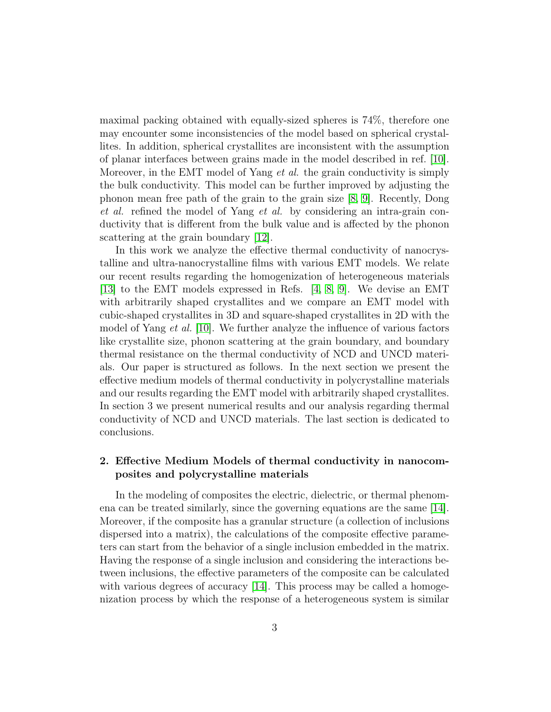maximal packing obtained with equally-sized spheres is 74%, therefore one may encounter some inconsistencies of the model based on spherical crystallites. In addition, spherical crystallites are inconsistent with the assumption of planar interfaces between grains made in the model described in ref. [\[10\]](#page-12-9). Moreover, in the EMT model of Yang *et al.* the grain conductivity is simply the bulk conductivity. This model can be further improved by adjusting the phonon mean free path of the grain to the grain size [\[8,](#page-12-7) [9\]](#page-12-8). Recently, Dong et al. refined the model of Yang et al. by considering an intra-grain conductivity that is different from the bulk value and is affected by the phonon scattering at the grain boundary [\[12\]](#page-13-1).

In this work we analyze the effective thermal conductivity of nanocrystalline and ultra-nanocrystalline films with various EMT models. We relate our recent results regarding the homogenization of heterogeneous materials  $[13]$  to the EMT models expressed in Refs.  $[4, 8, 9]$  $[4, 8, 9]$  $[4, 8, 9]$ . We devise an EMT with arbitrarily shaped crystallites and we compare an EMT model with cubic-shaped crystallites in 3D and square-shaped crystallites in 2D with the model of Yang et al. [\[10\]](#page-12-9). We further analyze the influence of various factors like crystallite size, phonon scattering at the grain boundary, and boundary thermal resistance on the thermal conductivity of NCD and UNCD materials. Our paper is structured as follows. In the next section we present the effective medium models of thermal conductivity in polycrystalline materials and our results regarding the EMT model with arbitrarily shaped crystallites. In section 3 we present numerical results and our analysis regarding thermal conductivity of NCD and UNCD materials. The last section is dedicated to conclusions.

## 2. Effective Medium Models of thermal conductivity in nanocomposites and polycrystalline materials

In the modeling of composites the electric, dielectric, or thermal phenomena can be treated similarly, since the governing equations are the same [\[14\]](#page-13-3). Moreover, if the composite has a granular structure (a collection of inclusions dispersed into a matrix), the calculations of the composite effective parameters can start from the behavior of a single inclusion embedded in the matrix. Having the response of a single inclusion and considering the interactions between inclusions, the effective parameters of the composite can be calculated with various degrees of accuracy [\[14\]](#page-13-3). This process may be called a homogenization process by which the response of a heterogeneous system is similar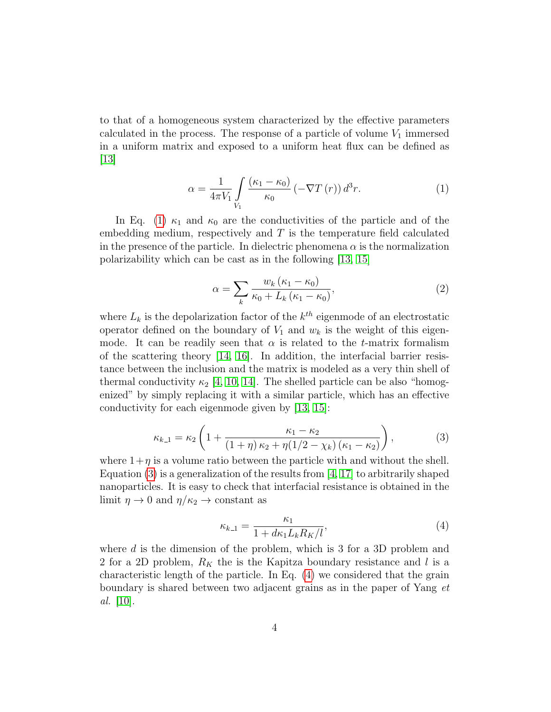to that of a homogeneous system characterized by the effective parameters calculated in the process. The response of a particle of volume  $V_1$  immersed in a uniform matrix and exposed to a uniform heat flux can be defined as [\[13\]](#page-13-2)

<span id="page-3-0"></span>
$$
\alpha = \frac{1}{4\pi V_1} \int\limits_{V_1} \frac{(\kappa_1 - \kappa_0)}{\kappa_0} \left( -\nabla T\left( r \right) \right) d^3 r. \tag{1}
$$

In Eq. [\(1\)](#page-3-0)  $\kappa_1$  and  $\kappa_0$  are the conductivities of the particle and of the embedding medium, respectively and T is the temperature field calculated in the presence of the particle. In dielectric phenomena  $\alpha$  is the normalization polarizability which can be cast as in the following [\[13,](#page-13-2) [15\]](#page-13-4)

$$
\alpha = \sum_{k} \frac{w_k \left(\kappa_1 - \kappa_0\right)}{\kappa_0 + L_k \left(\kappa_1 - \kappa_0\right)},\tag{2}
$$

where  $L_k$  is the depolarization factor of the  $k^{th}$  eigenmode of an electrostatic operator defined on the boundary of  $V_1$  and  $w_k$  is the weight of this eigenmode. It can be readily seen that  $\alpha$  is related to the t-matrix formalism of the scattering theory [\[14,](#page-13-3) [16\]](#page-13-5). In addition, the interfacial barrier resistance between the inclusion and the matrix is modeled as a very thin shell of thermal conductivity  $\kappa_2$  [\[4,](#page-12-3) [10,](#page-12-9) [14\]](#page-13-3). The shelled particle can be also "homogenized" by simply replacing it with a similar particle, which has an effective conductivity for each eigenmode given by [\[13,](#page-13-2) [15\]](#page-13-4):

<span id="page-3-1"></span>
$$
\kappa_{k-1} = \kappa_2 \left( 1 + \frac{\kappa_1 - \kappa_2}{\left( 1 + \eta \right) \kappa_2 + \eta \left( 1/2 - \chi_k \right) \left( \kappa_1 - \kappa_2 \right)} \right),\tag{3}
$$

where  $1+\eta$  is a volume ratio between the particle with and without the shell. Equation [\(3\)](#page-3-1) is a generalization of the results from [\[4,](#page-12-3) [17\]](#page-13-6) to arbitrarily shaped nanoparticles. It is easy to check that interfacial resistance is obtained in the limit  $\eta \to 0$  and  $\eta/\kappa_2 \to$  constant as

<span id="page-3-2"></span>
$$
\kappa_{k\perp 1} = \frac{\kappa_1}{1 + d\kappa_1 L_k R_K/l},\tag{4}
$$

where d is the dimension of the problem, which is 3 for a 3D problem and 2 for a 2D problem,  $R_K$  the is the Kapitza boundary resistance and l is a characteristic length of the particle. In Eq. [\(4\)](#page-3-2) we considered that the grain boundary is shared between two adjacent grains as in the paper of Yang et al. [\[10\]](#page-12-9).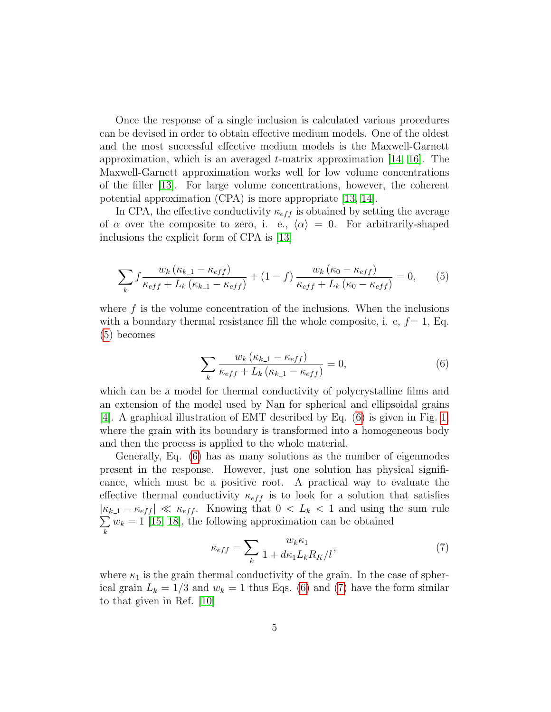Once the response of a single inclusion is calculated various procedures can be devised in order to obtain effective medium models. One of the oldest and the most successful effective medium models is the Maxwell-Garnett approximation, which is an averaged  $t$ -matrix approximation [\[14,](#page-13-3) [16\]](#page-13-5). The Maxwell-Garnett approximation works well for low volume concentrations of the filler [\[13\]](#page-13-2). For large volume concentrations, however, the coherent potential approximation (CPA) is more appropriate [\[13,](#page-13-2) [14\]](#page-13-3).

In CPA, the effective conductivity  $\kappa_{eff}$  is obtained by setting the average of  $\alpha$  over the composite to zero, i. e.,  $\langle \alpha \rangle = 0$ . For arbitrarily-shaped inclusions the explicit form of CPA is [\[13\]](#page-13-2)

<span id="page-4-0"></span>
$$
\sum_{k} f \frac{w_{k} \left(\kappa_{k-1} - \kappa_{eff}\right)}{\kappa_{eff} + L_{k} \left(\kappa_{k-1} - \kappa_{eff}\right)} + (1 - f) \frac{w_{k} \left(\kappa_{0} - \kappa_{eff}\right)}{\kappa_{eff} + L_{k} \left(\kappa_{0} - \kappa_{eff}\right)} = 0, \qquad (5)
$$

where  $f$  is the volume concentration of the inclusions. When the inclusions with a boundary thermal resistance fill the whole composite, i. e,  $f=1$ , Eq. [\(5\)](#page-4-0) becomes

<span id="page-4-1"></span>
$$
\sum_{k} \frac{w_k \left(\kappa_{k-1} - \kappa_{eff}\right)}{\kappa_{eff} + L_k \left(\kappa_{k-1} - \kappa_{eff}\right)} = 0,\tag{6}
$$

which can be a model for thermal conductivity of polycrystalline films and an extension of the model used by Nan for spherical and ellipsoidal grains  $[4]$ . A graphical illustration of EMT described by Eq. [\(6\)](#page-4-1) is given in Fig. [1,](#page-5-0) where the grain with its boundary is transformed into a homogeneous body and then the process is applied to the whole material.

Generally, Eq. [\(6\)](#page-4-1) has as many solutions as the number of eigenmodes present in the response. However, just one solution has physical significance, which must be a positive root. A practical way to evaluate the effective thermal conductivity  $\kappa_{eff}$  is to look for a solution that satisfies  $|\kappa_{k-1} - \kappa_{eff}| \ll \kappa_{eff}$ . Knowing that  $0 < L_k < 1$  and using the sum rule  $\sum w_k = 1$  [\[15,](#page-13-4) [18\]](#page-13-7), the following approximation can be obtained k

<span id="page-4-2"></span>
$$
\kappa_{eff} = \sum_{k} \frac{w_k \kappa_1}{1 + d\kappa_1 L_k R_K / l},\tag{7}
$$

where  $\kappa_1$  is the grain thermal conductivity of the grain. In the case of spherical grain  $L_k = 1/3$  and  $w_k = 1$  thus Eqs. [\(6\)](#page-4-1) and [\(7\)](#page-4-2) have the form similar to that given in Ref. [\[10\]](#page-12-9)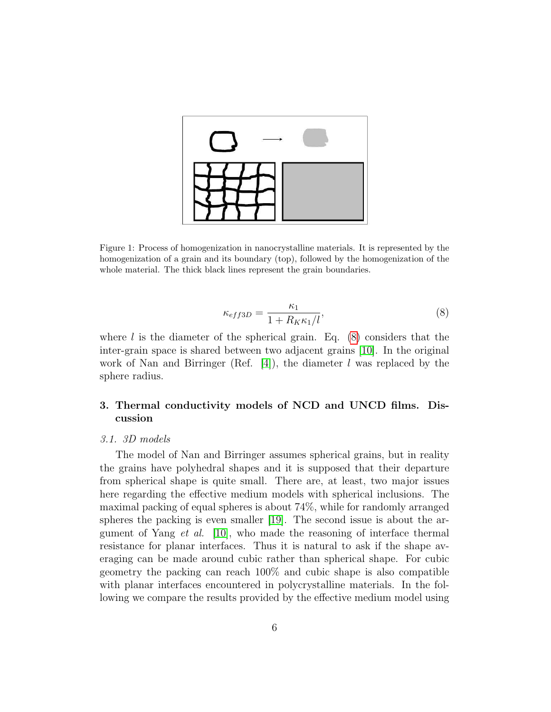

<span id="page-5-0"></span>Figure 1: Process of homogenization in nanocrystalline materials. It is represented by the homogenization of a grain and its boundary (top), followed by the homogenization of the whole material. The thick black lines represent the grain boundaries.

<span id="page-5-1"></span>
$$
\kappa_{eff3D} = \frac{\kappa_1}{1 + R_K \kappa_1 / l},\tag{8}
$$

where  $l$  is the diameter of the spherical grain. Eq. [\(8\)](#page-5-1) considers that the inter-grain space is shared between two adjacent grains [\[10\]](#page-12-9). In the original work of Nan and Birringer (Ref. [\[4\]](#page-12-3)), the diameter l was replaced by the sphere radius.

# 3. Thermal conductivity models of NCD and UNCD films. Discussion

## 3.1. 3D models

The model of Nan and Birringer assumes spherical grains, but in reality the grains have polyhedral shapes and it is supposed that their departure from spherical shape is quite small. There are, at least, two major issues here regarding the effective medium models with spherical inclusions. The maximal packing of equal spheres is about 74%, while for randomly arranged spheres the packing is even smaller [\[19\]](#page-13-8). The second issue is about the argument of Yang *et al.* [\[10\]](#page-12-9), who made the reasoning of interface thermal resistance for planar interfaces. Thus it is natural to ask if the shape averaging can be made around cubic rather than spherical shape. For cubic geometry the packing can reach 100% and cubic shape is also compatible with planar interfaces encountered in polycrystalline materials. In the following we compare the results provided by the effective medium model using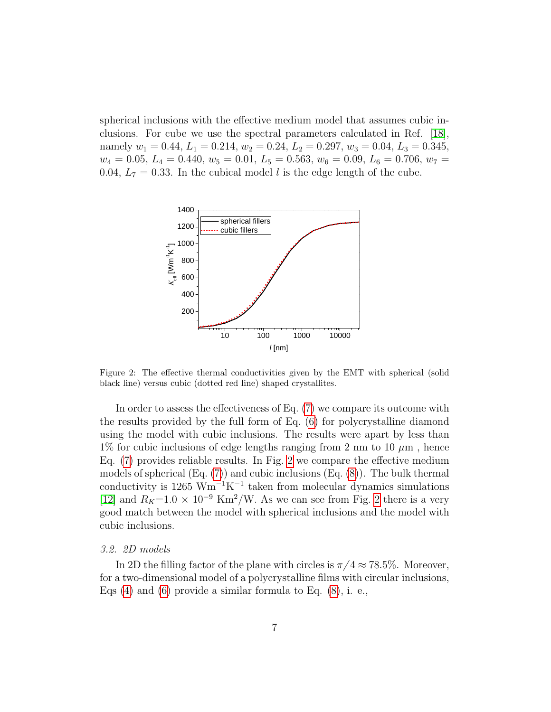spherical inclusions with the effective medium model that assumes cubic inclusions. For cube we use the spectral parameters calculated in Ref. [\[18\]](#page-13-7), namely  $w_1 = 0.44$ ,  $L_1 = 0.214$ ,  $w_2 = 0.24$ ,  $L_2 = 0.297$ ,  $w_3 = 0.04$ ,  $L_3 = 0.345$ ,  $w_4 = 0.05, L_4 = 0.440, w_5 = 0.01, L_5 = 0.563, w_6 = 0.09, L_6 = 0.706, w_7 =$ 0.04,  $L_7 = 0.33$ . In the cubical model l is the edge length of the cube.



<span id="page-6-0"></span>Figure 2: The effective thermal conductivities given by the EMT with spherical (solid black line) versus cubic (dotted red line) shaped crystallites.

In order to assess the effectiveness of Eq. [\(7\)](#page-4-2) we compare its outcome with the results provided by the full form of Eq. [\(6\)](#page-4-1) for polycrystalline diamond using the model with cubic inclusions. The results were apart by less than 1% for cubic inclusions of edge lengths ranging from 2 nm to 10  $\mu$ m, hence Eq. [\(7\)](#page-4-2) provides reliable results. In Fig. [2](#page-6-0) we compare the effective medium models of spherical  $(Eq. (7))$  $(Eq. (7))$  $(Eq. (7))$  and cubic inclusions  $(Eq. (8))$  $(Eq. (8))$  $(Eq. (8))$ . The bulk thermal conductivity is  $1265 \text{ Wm}^{-1}\text{K}^{-1}$  taken from molecular dynamics simulations [\[12\]](#page-13-1) and  $R_K=1.0 \times 10^{-9}$  Km<sup>2</sup>/W. As we can see from Fig. [2](#page-6-0) there is a very good match between the model with spherical inclusions and the model with cubic inclusions.

## 3.2. 2D models

In 2D the filling factor of the plane with circles is  $\pi/4 \approx 78.5\%$ . Moreover, for a two-dimensional model of a polycrystalline films with circular inclusions, Eqs  $(4)$  and  $(6)$  provide a similar formula to Eq.  $(8)$ , i. e.,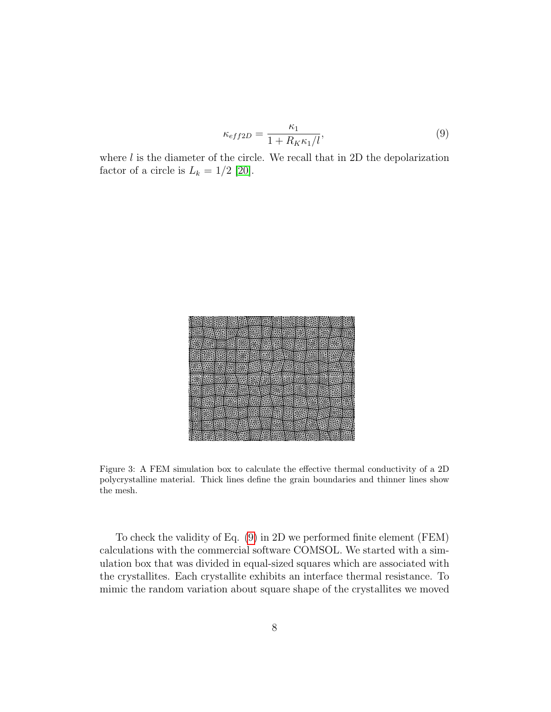<span id="page-7-0"></span>
$$
\kappa_{eff2D} = \frac{\kappa_1}{1 + R_K \kappa_1 / l},\tag{9}
$$

where  $l$  is the diameter of the circle. We recall that in 2D the depolarization factor of a circle is  $L_k = 1/2$  [\[20\]](#page-13-9).



Figure 3: A FEM simulation box to calculate the effective thermal conductivity of a 2D polycrystalline material. Thick lines define the grain boundaries and thinner lines show the mesh.

<span id="page-7-1"></span>To check the validity of Eq. [\(9\)](#page-7-0) in 2D we performed finite element (FEM) calculations with the commercial software COMSOL. We started with a simulation box that was divided in equal-sized squares which are associated with the crystallites. Each crystallite exhibits an interface thermal resistance. To mimic the random variation about square shape of the crystallites we moved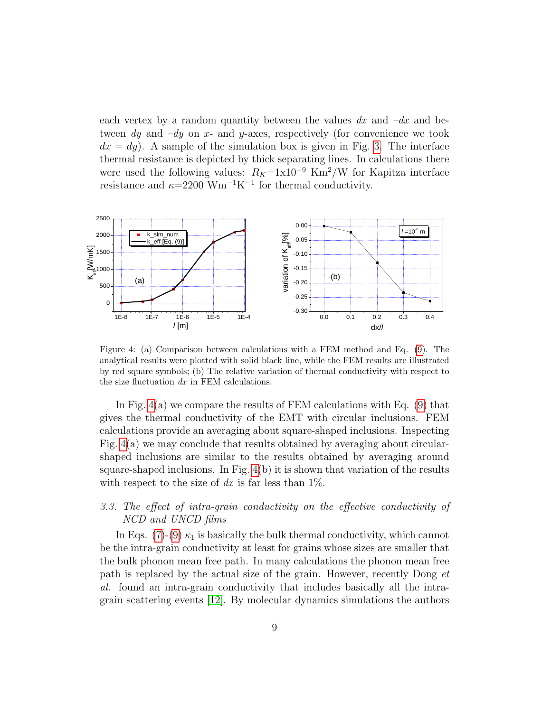each vertex by a random quantity between the values  $dx$  and  $-dx$  and between dy and  $-dy$  on x- and y-axes, respectively (for convenience we took  $dx = dy$ ). A sample of the simulation box is given in Fig. [3.](#page-7-1) The interface thermal resistance is depicted by thick separating lines. In calculations there were used the following values:  $R_K=1\times10^{-9}$  Km<sup>2</sup>/W for Kapitza interface resistance and  $\kappa$ =2200 Wm<sup>-1</sup>K<sup>-1</sup> for thermal conductivity.



<span id="page-8-0"></span>Figure 4: (a) Comparison between calculations with a FEM method and Eq. [\(9\)](#page-7-0). The analytical results were plotted with solid black line, while the FEM results are illustrated by red square symbols; (b) The relative variation of thermal conductivity with respect to the size fluctuation  $dx$  in FEM calculations.

In Fig. [4\(](#page-8-0)a) we compare the results of FEM calculations with Eq. [\(9\)](#page-7-0) that gives the thermal conductivity of the EMT with circular inclusions. FEM calculations provide an averaging about square-shaped inclusions. Inspecting Fig. [4\(](#page-8-0)a) we may conclude that results obtained by averaging about circularshaped inclusions are similar to the results obtained by averaging around square-shaped inclusions. In Fig.  $4(b)$  it is shown that variation of the results with respect to the size of dx is far less than  $1\%$ .

# 3.3. The effect of intra-grain conductivity on the effective conductivity of NCD and UNCD films

In Eqs. [\(7\)](#page-4-2)-[\(9\)](#page-7-0)  $\kappa_1$  is basically the bulk thermal conductivity, which cannot be the intra-grain conductivity at least for grains whose sizes are smaller that the bulk phonon mean free path. In many calculations the phonon mean free path is replaced by the actual size of the grain. However, recently Dong et al. found an intra-grain conductivity that includes basically all the intragrain scattering events [\[12\]](#page-13-1). By molecular dynamics simulations the authors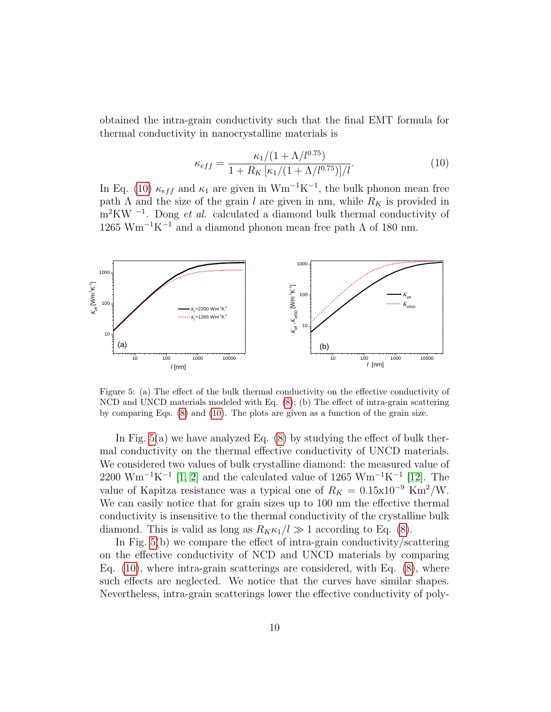obtained the intra-grain conductivity such that the final EMT formula for thermal conductivity in nanocrystalline materials is

<span id="page-9-0"></span>
$$
\kappa_{eff} = \frac{\kappa_1/(1 + \Lambda/l^{0.75})}{1 + R_K \left[\kappa_1/(1 + \Lambda/l^{0.75})\right]/l}.\tag{10}
$$

In Eq. [\(10\)](#page-9-0)  $\kappa_{eff}$  and  $\kappa_1$  are given in Wm<sup>-1</sup>K<sup>-1</sup>, the bulk phonon mean free path  $\Lambda$  and the size of the grain l are given in nm, while  $R_K$  is provided in  $m^2 K W^{-1}$ . Dong *et al.* calculated a diamond bulk thermal conductivity of 1265 Wm<sup>-1</sup>K<sup>-1</sup> and a diamond phonon mean free path  $\Lambda$  of 180 nm.



<span id="page-9-1"></span>Figure 5: (a) The effect of the bulk thermal conductivity on the effective conductivity of NCD and UNCD materials modeled with Eq. [\(8\)](#page-5-1); (b) The effect of intra-grain scattering by comparing Eqs. [\(8\)](#page-5-1) and [\(10\)](#page-9-0). The plots are given as a function of the grain size.

In Fig. [5\(](#page-9-1)a) we have analyzed Eq. [\(8\)](#page-5-1) by studying the effect of bulk thermal conductivity on the thermal effective conductivity of UNCD materials. We considered two values of bulk crystalline diamond: the measured value of  $2200 \text{ Wm}^{-1}\text{K}^{-1}$  [\[1,](#page-12-0) [2\]](#page-12-1) and the calculated value of 1265  $\text{Wm}^{-1}\text{K}^{-1}$  [\[12\]](#page-13-1). The value of Kapitza resistance was a typical one of  $R_K = 0.15 \times 10^{-9}$  Km<sup>2</sup>/W. We can easily notice that for grain sizes up to 100 nm the effective thermal conductivity is insensitive to the thermal conductivity of the crystalline bulk diamond. This is valid as long as  $R_K \kappa_1 / l \gg 1$  according to Eq. [\(8\)](#page-5-1).

In Fig. [5\(](#page-9-1)b) we compare the effect of intra-grain conductivity/scattering on the effective conductivity of NCD and UNCD materials by comparing Eq. [\(10\)](#page-9-0), where intra-grain scatterings are considered, with Eq. [\(8\)](#page-5-1), where such effects are neglected. We notice that the curves have similar shapes. Nevertheless, intra-grain scatterings lower the effective conductivity of poly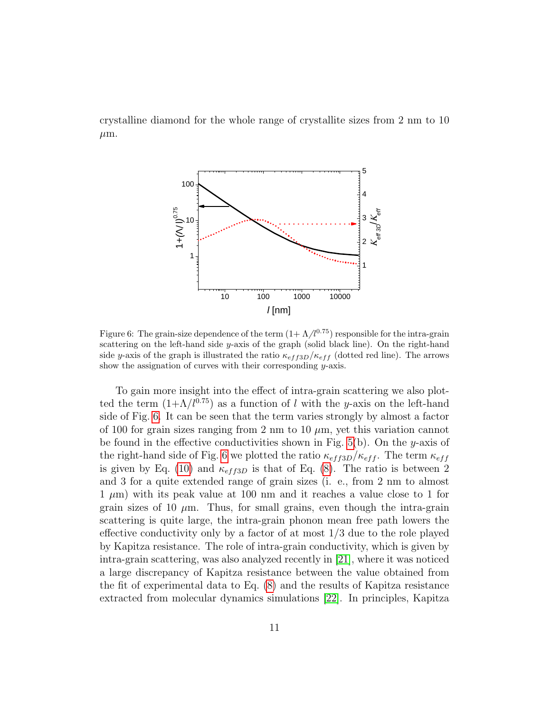crystalline diamond for the whole range of crystallite sizes from 2 nm to 10  $\mu$ m.



<span id="page-10-0"></span>Figure 6: The grain-size dependence of the term  $(1+\Lambda/l^{0.75})$  responsible for the intra-grain scattering on the left-hand side y-axis of the graph (solid black line). On the right-hand side y-axis of the graph is illustrated the ratio  $\kappa_{eff,3D}/\kappa_{eff}$  (dotted red line). The arrows show the assignation of curves with their corresponding y-axis.

To gain more insight into the effect of intra-grain scattering we also plotted the term  $(1+\Lambda/l^{0.75})$  as a function of l with the y-axis on the left-hand side of Fig. [6.](#page-10-0) It can be seen that the term varies strongly by almost a factor of 100 for grain sizes ranging from 2 nm to 10  $\mu$ m, yet this variation cannot be found in the effective conductivities shown in Fig. [5\(](#page-9-1)b). On the y-axis of the right-hand side of Fig. [6](#page-10-0) we plotted the ratio  $\kappa_{eff3D}/\kappa_{eff}$ . The term  $\kappa_{eff}$ is given by Eq. [\(10\)](#page-9-0) and  $\kappa_{eff3D}$  is that of Eq. [\(8\)](#page-5-1). The ratio is between 2 and 3 for a quite extended range of grain sizes (i. e., from 2 nm to almost  $1 \mu m$ ) with its peak value at 100 nm and it reaches a value close to 1 for grain sizes of 10  $\mu$ m. Thus, for small grains, even though the intra-grain scattering is quite large, the intra-grain phonon mean free path lowers the effective conductivity only by a factor of at most  $1/3$  due to the role played by Kapitza resistance. The role of intra-grain conductivity, which is given by intra-grain scattering, was also analyzed recently in [\[21\]](#page-13-10), where it was noticed a large discrepancy of Kapitza resistance between the value obtained from the fit of experimental data to Eq. [\(8\)](#page-5-1) and the results of Kapitza resistance extracted from molecular dynamics simulations [\[22\]](#page-14-0). In principles, Kapitza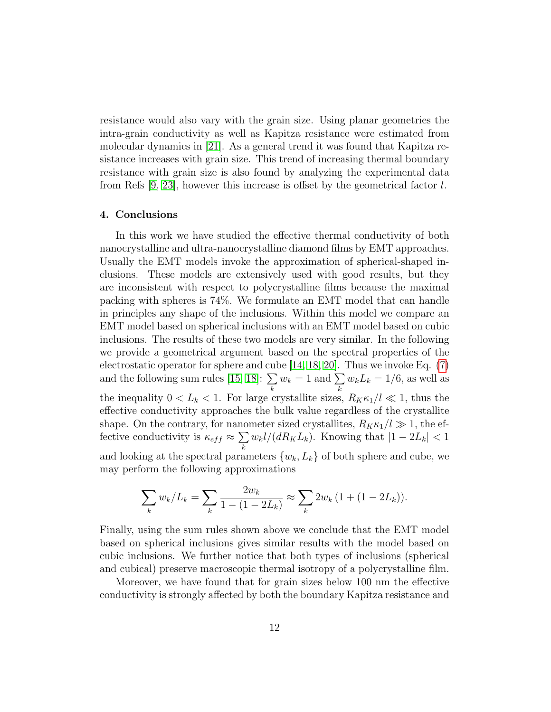resistance would also vary with the grain size. Using planar geometries the intra-grain conductivity as well as Kapitza resistance were estimated from molecular dynamics in [\[21\]](#page-13-10). As a general trend it was found that Kapitza resistance increases with grain size. This trend of increasing thermal boundary resistance with grain size is also found by analyzing the experimental data from Refs [\[9,](#page-12-8) [23\]](#page-14-1), however this increase is offset by the geometrical factor  $l$ .

## 4. Conclusions

In this work we have studied the effective thermal conductivity of both nanocrystalline and ultra-nanocrystalline diamond films by EMT approaches. Usually the EMT models invoke the approximation of spherical-shaped inclusions. These models are extensively used with good results, but they are inconsistent with respect to polycrystalline films because the maximal packing with spheres is 74%. We formulate an EMT model that can handle in principles any shape of the inclusions. Within this model we compare an EMT model based on spherical inclusions with an EMT model based on cubic inclusions. The results of these two models are very similar. In the following we provide a geometrical argument based on the spectral properties of the electrostatic operator for sphere and cube [\[14,](#page-13-3) [18,](#page-13-7) [20\]](#page-13-9). Thus we invoke Eq. [\(7\)](#page-4-2) and the following sum rules [\[15,](#page-13-4) [18\]](#page-13-7):  $\Sigma$ k  $w_k = 1$  and  $\sum$ k  $w_k L_k = 1/6$ , as well as the inequality  $0 < L_k < 1$ . For large crystallite sizes,  $R_K \kappa_1 / l \ll 1$ , thus the effective conductivity approaches the bulk value regardless of the crystallite shape. On the contrary, for nanometer sized crystallites,  $R_K \kappa_1 / l \gg 1$ , the effective conductivity is  $\kappa_{eff} \approx \sum$ k  $w_k l/(dR_K L_k)$ . Knowing that  $|1 - 2L_k| < 1$ and looking at the spectral parameters  $\{w_k, L_k\}$  of both sphere and cube, we may perform the following approximations

$$
\sum_{k} w_{k}/L_{k} = \sum_{k} \frac{2w_{k}}{1 - (1 - 2L_{k})} \approx \sum_{k} 2w_{k} (1 + (1 - 2L_{k})).
$$

Finally, using the sum rules shown above we conclude that the EMT model based on spherical inclusions gives similar results with the model based on cubic inclusions. We further notice that both types of inclusions (spherical and cubical) preserve macroscopic thermal isotropy of a polycrystalline film.

Moreover, we have found that for grain sizes below 100 nm the effective conductivity is strongly affected by both the boundary Kapitza resistance and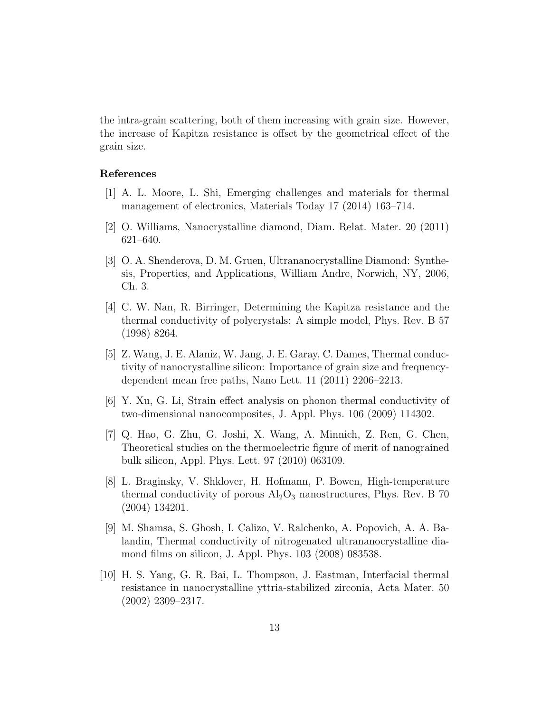the intra-grain scattering, both of them increasing with grain size. However, the increase of Kapitza resistance is offset by the geometrical effect of the grain size.

## References

- <span id="page-12-0"></span>[1] A. L. Moore, L. Shi, Emerging challenges and materials for thermal management of electronics, Materials Today 17 (2014) 163–714.
- <span id="page-12-1"></span>[2] O. Williams, Nanocrystalline diamond, Diam. Relat. Mater. 20 (2011) 621–640.
- <span id="page-12-2"></span>[3] O. A. Shenderova, D. M. Gruen, Ultrananocrystalline Diamond: Synthesis, Properties, and Applications, William Andre, Norwich, NY, 2006, Ch. 3.
- <span id="page-12-3"></span>[4] C. W. Nan, R. Birringer, Determining the Kapitza resistance and the thermal conductivity of polycrystals: A simple model, Phys. Rev. B 57 (1998) 8264.
- <span id="page-12-4"></span>[5] Z. Wang, J. E. Alaniz, W. Jang, J. E. Garay, C. Dames, Thermal conductivity of nanocrystalline silicon: Importance of grain size and frequencydependent mean free paths, Nano Lett. 11 (2011) 2206–2213.
- <span id="page-12-5"></span>[6] Y. Xu, G. Li, Strain effect analysis on phonon thermal conductivity of two-dimensional nanocomposites, J. Appl. Phys. 106 (2009) 114302.
- <span id="page-12-6"></span>[7] Q. Hao, G. Zhu, G. Joshi, X. Wang, A. Minnich, Z. Ren, G. Chen, Theoretical studies on the thermoelectric figure of merit of nanograined bulk silicon, Appl. Phys. Lett. 97 (2010) 063109.
- <span id="page-12-7"></span>[8] L. Braginsky, V. Shklover, H. Hofmann, P. Bowen, High-temperature thermal conductivity of porous  $\text{Al}_2\text{O}_3$  nanostructures, Phys. Rev. B 70 (2004) 134201.
- <span id="page-12-8"></span>[9] M. Shamsa, S. Ghosh, I. Calizo, V. Ralchenko, A. Popovich, A. A. Balandin, Thermal conductivity of nitrogenated ultrananocrystalline diamond films on silicon, J. Appl. Phys. 103 (2008) 083538.
- <span id="page-12-9"></span>[10] H. S. Yang, G. R. Bai, L. Thompson, J. Eastman, Interfacial thermal resistance in nanocrystalline yttria-stabilized zirconia, Acta Mater. 50 (2002) 2309–2317.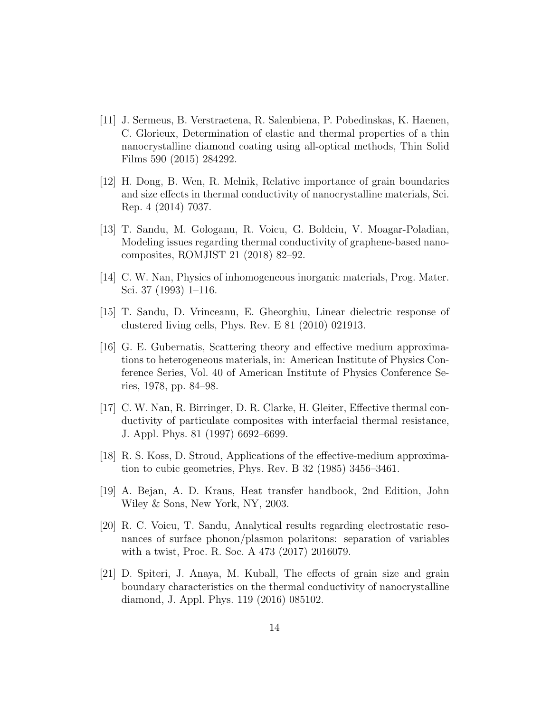- <span id="page-13-0"></span>[11] J. Sermeus, B. Verstraetena, R. Salenbiena, P. Pobedinskas, K. Haenen, C. Glorieux, Determination of elastic and thermal properties of a thin nanocrystalline diamond coating using all-optical methods, Thin Solid Films 590 (2015) 284292.
- <span id="page-13-1"></span>[12] H. Dong, B. Wen, R. Melnik, Relative importance of grain boundaries and size effects in thermal conductivity of nanocrystalline materials, Sci. Rep. 4 (2014) 7037.
- <span id="page-13-2"></span>[13] T. Sandu, M. Gologanu, R. Voicu, G. Boldeiu, V. Moagar-Poladian, Modeling issues regarding thermal conductivity of graphene-based nanocomposites, ROMJIST 21 (2018) 82–92.
- <span id="page-13-3"></span>[14] C. W. Nan, Physics of inhomogeneous inorganic materials, Prog. Mater. Sci. 37 (1993) 1–116.
- <span id="page-13-4"></span>[15] T. Sandu, D. Vrinceanu, E. Gheorghiu, Linear dielectric response of clustered living cells, Phys. Rev. E 81 (2010) 021913.
- <span id="page-13-5"></span>[16] G. E. Gubernatis, Scattering theory and effective medium approximations to heterogeneous materials, in: American Institute of Physics Conference Series, Vol. 40 of American Institute of Physics Conference Series, 1978, pp. 84–98.
- <span id="page-13-6"></span>[17] C. W. Nan, R. Birringer, D. R. Clarke, H. Gleiter, Effective thermal conductivity of particulate composites with interfacial thermal resistance, J. Appl. Phys. 81 (1997) 6692–6699.
- <span id="page-13-7"></span>[18] R. S. Koss, D. Stroud, Applications of the effective-medium approximation to cubic geometries, Phys. Rev. B 32 (1985) 3456–3461.
- <span id="page-13-8"></span>[19] A. Bejan, A. D. Kraus, Heat transfer handbook, 2nd Edition, John Wiley & Sons, New York, NY, 2003.
- <span id="page-13-9"></span>[20] R. C. Voicu, T. Sandu, Analytical results regarding electrostatic resonances of surface phonon/plasmon polaritons: separation of variables with a twist, Proc. R. Soc. A 473 (2017) 2016079.
- <span id="page-13-10"></span>[21] D. Spiteri, J. Anaya, M. Kuball, The effects of grain size and grain boundary characteristics on the thermal conductivity of nanocrystalline diamond, J. Appl. Phys. 119 (2016) 085102.